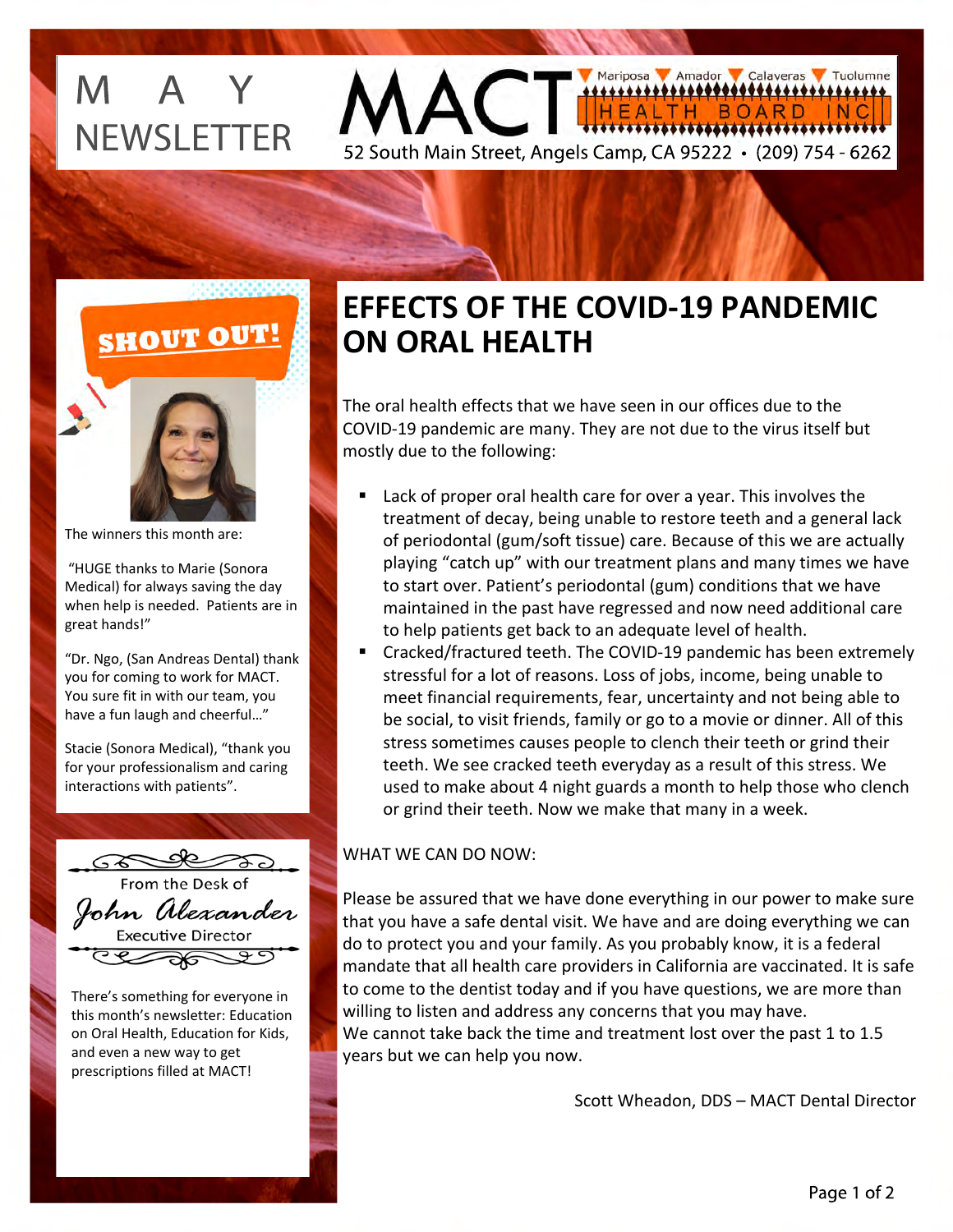# M A Y **NEWSLETTER**



The winners this month are:

 "HUGE thanks to Marie (Sonora Medical) for always saving the day when help is needed. Patients are in great hands!"

"Dr. Ngo, (San Andreas Dental) thank you for coming to work for MACT. You sure fit in with our team, you have a fun laugh and cheerful…"

Stacie (Sonora Medical), "thank you for your professionalism and caring interactions with patients".



There's something for everyone in this month's newsletter: Education on Oral Health, Education for Kids, and even a new way to get prescriptions filled at MACT!

### **EFFECTS OF THE COVID-19 PANDEMIC ON ORAL HEALTH**

52 South Main Street, Angels Camp, CA 95222 • (209) 754 - 6262

Mariposa MAmador Calaveras Tuolumne

BOARD

.<del>\*\*\*\*\*\*\*\*\*\*\*\*\*\*\*\*\*\*\*\*\*\*\*\*</del>\*

,<del>,,,,,,,,,,,,,,,,,,</del>,

IN C

The oral health effects that we have seen in our offices due to the COVID-19 pandemic are many. They are not due to the virus itself but mostly due to the following:

- Lack of proper oral health care for over a year. This involves the treatment of decay, being unable to restore teeth and a general lack of periodontal (gum/soft tissue) care. Because of this we are actually playing "catch up" with our treatment plans and many times we have to start over. Patient's periodontal (gum) conditions that we have maintained in the past have regressed and now need additional care to help patients get back to an adequate level of health.
- Cracked/fractured teeth. The COVID-19 pandemic has been extremely stressful for a lot of reasons. Loss of jobs, income, being unable to meet financial requirements, fear, uncertainty and not being able to be social, to visit friends, family or go to a movie or dinner. All of this stress sometimes causes people to clench their teeth or grind their teeth. We see cracked teeth everyday as a result of this stress. We used to make about 4 night guards a month to help those who clench or grind their teeth. Now we make that many in a week.

#### WHAT WE CAN DO NOW:

Please be assured that we have done everything in our power to make sure that you have a safe dental visit. We have and are doing everything we can do to protect you and your family. As you probably know, it is a federal mandate that all health care providers in California are vaccinated. It is safe to come to the dentist today and if you have questions, we are more than willing to listen and address any concerns that you may have. We cannot take back the time and treatment lost over the past 1 to 1.5 years but we can help you now.

Scott Wheadon, DDS – MACT Dental Director